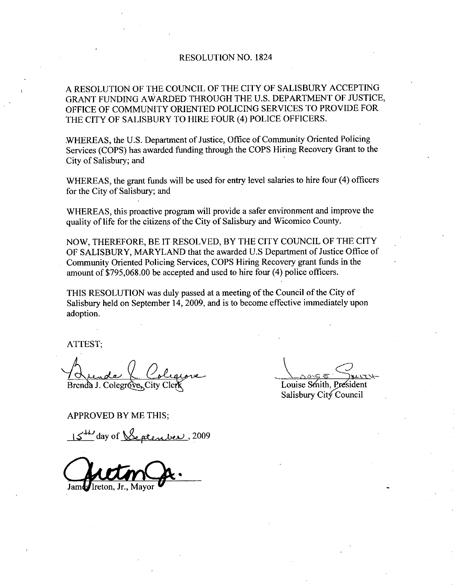## RESOLUTION NO. 1824

A RESOLUTION OF THE COUNCIL OF THE CITY OF SALISBURY ACCEPTING GRANT FUNDING AWARDED THROUGH THE U.S. DEPARTMENT OF JUSTICE. OFFICE OF COMMUNITY ORIENTED POLICING SERVICES TO PROVIDE FOR THE CITY OF SALISBURY TO HIRE FOUR (4) POLICE OFFICERS.

WHEREAS, the U.S. Department of Justice, Office of Community Oriented Policing Services COPS has awazded funding through the COPS Hiring Recovery Grant to the City of Salisbury; and

WHEREAS, the grant funds will be used for entry level salaries to hire four (4) officers for the City of Salisbury; and

WHEREAS, this proactive program will provide a safer environment and improve the quality of life for the citizens of the City of Salisbury and Wicomico County.

NOW, THEREFORE, BE IT RESOLVED, BY THE CITY COUNCIL OF THE CITY NOW, THEREFORE, BE IT RESOLVED, BY THE CITY COUNCIL OF THE CITY<br>OF SALISBURY, MARYLAND that the awarded U.S Department of Justice Office of Community Oriented Policing Services, COPS Hiring Recovery grant funds in the amount of \$795,068.00 be accepted and used to hire four (4) police officers. OF SALISBURY, MARYLAND that the awarded U.S Department of Justic<br>Community Oriented Policing Services, COPS Hiring Recovery grant funds<br>amount of \$795,068.00 be accepted and used to hire four (4) police officers.

THIS RESOLUTION was duly passed at a meeting of the Council of the City of Salisbury held on September 14, 2009, and is to become effective immediately upon adoption

ATTEST

Brenda J. Colegróve r;<br>de la Colegre<br>J. Colegreres City Clerk<br>VED BY ME THIS;<br>day of <u>Septenber</u>

 $\frac{1}{2}$ Louise Smith, I

Salisbury City Council

APPROVED BY ME THIS

15<sup>th</sup> day of <u>Septenber</u>, 2009

James Ireton, Jr., Mayor